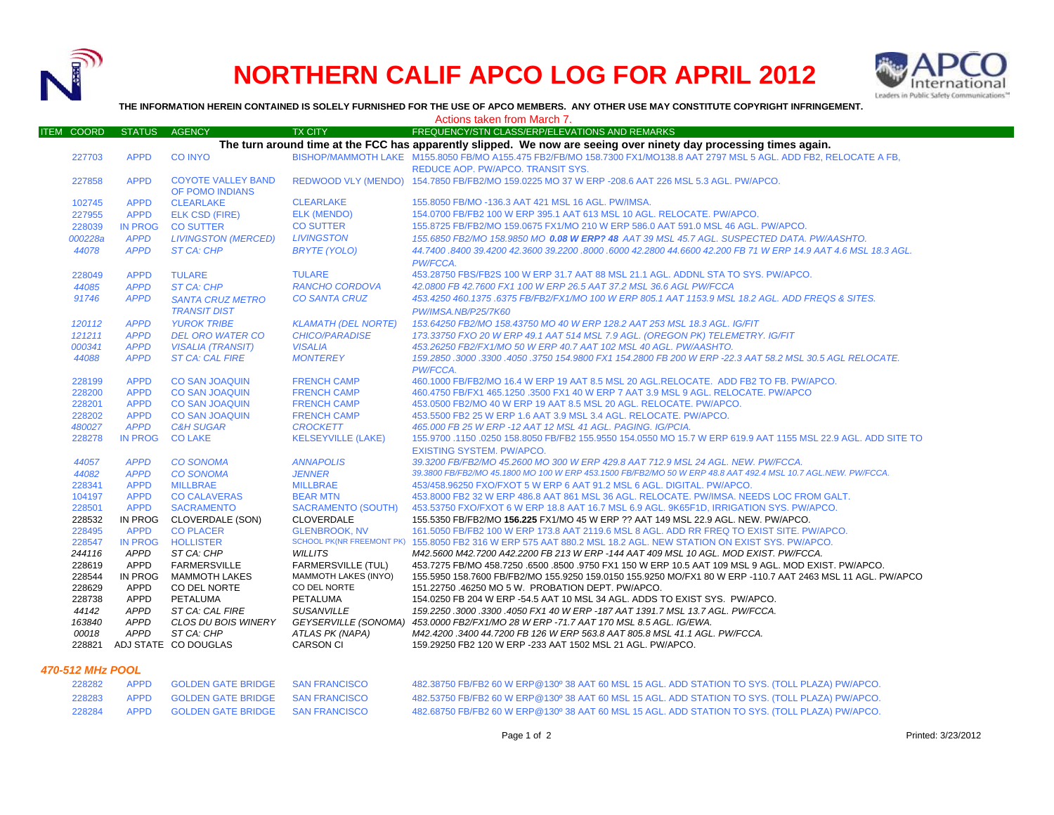

# **NORTHERN CALIF APCO LOG FOR APRIL 2012**



**THE INFORMATION HEREIN CONTAINED IS SOLELY FURNISHED FOR THE USE OF APCO MEMBERS. ANY OTHER USE MAY CONSTITUTE COPYRIGHT INFRINGEMENT.**

|                   |                        |                                                |                                                          | Actions taken from March 7.                                                                                                                                     |
|-------------------|------------------------|------------------------------------------------|----------------------------------------------------------|-----------------------------------------------------------------------------------------------------------------------------------------------------------------|
| <b>ITEM COORD</b> | <b>STATUS</b>          | <b>AGENCY</b>                                  | <b>TX CITY</b>                                           | FREQUENCY/STN CLASS/ERP/ELEVATIONS AND REMARKS                                                                                                                  |
|                   |                        |                                                |                                                          | The turn around time at the FCC has apparently slipped. We now are seeing over ninety day processing times again.                                               |
| 227703            | <b>APPD</b>            | <b>CO INYO</b>                                 |                                                          | BISHOP/MAMMOTH LAKE M155.8050 FB/MO A155.475 FB2/FB/MO 158.7300 FX1/MO138.8 AAT 2797 MSL 5 AGL, ADD FB2, RELOCATE A FB.<br>REDUCE AOP. PW/APCO. TRANSIT SYS.    |
| 227858            | <b>APPD</b>            | <b>COYOTE VALLEY BAND</b><br>OF POMO INDIANS   |                                                          | REDWOOD VLY (MENDO) 154.7850 FB/FB2/MO 159.0225 MO 37 W ERP -208.6 AAT 226 MSL 5.3 AGL, PW/APCO,                                                                |
| 102745            | <b>APPD</b>            | <b>CLEARLAKE</b>                               | <b>CLEARLAKE</b>                                         | 155.8050 FB/MO -136.3 AAT 421 MSL 16 AGL. PW/IMSA.                                                                                                              |
| 227955            | <b>APPD</b>            | <b>ELK CSD (FIRE)</b>                          | ELK (MENDO)                                              | 154.0700 FB/FB2 100 W ERP 395.1 AAT 613 MSL 10 AGL, RELOCATE, PW/APCO,                                                                                          |
| 228039            | <b>IN PROG</b>         | <b>CO SUTTER</b>                               | <b>CO SUTTER</b>                                         | 155.8725 FB/FB2/MO 159.0675 FX1/MO 210 W ERP 586.0 AAT 591.0 MSL 46 AGL. PW/APCO.                                                                               |
| 000228a           | <b>APPD</b>            | <b>LIVINGSTON (MERCED)</b>                     | <b>LIVINGSTON</b>                                        | 155.6850 FB2/MO 158.9850 MO 0.08 W ERP? 48 AAT 39 MSL 45.7 AGL. SUSPECTED DATA. PW/AASHTO.                                                                      |
| 44078             | <b>APPD</b>            | ST CA: CHP                                     | BRYTE (YOLO)                                             | 44.7400 .8400 39.4200 42.3600 39.2200 .8000 .6000 42.2800 44.6600 42.200 FB 71 W ERP 14.9 AAT 4.6 MSL 18.3 AGL<br>PW/FCCA.                                      |
| 228049            | <b>APPD</b>            | <b>TULARE</b>                                  | <b>TULARE</b>                                            | 453.28750 FBS/FB2S 100 W ERP 31.7 AAT 88 MSL 21.1 AGL. ADDNL STA TO SYS. PW/APCO.                                                                               |
| 44085             | <b>APPD</b>            | ST CA: CHP                                     | RANCHO CORDOVA                                           | 42.0800 FB 42.7600 FX1 100 W ERP 26.5 AAT 37.2 MSL 36.6 AGL PW/FCCA                                                                                             |
| 91746             | <b>APPD</b>            | <b>SANTA CRUZ METRO</b><br><b>TRANSIT DIST</b> | <b>CO SANTA CRUZ</b>                                     | 453.4250 460.1375 .6375 FB/FB2/FX1/MO 100 W ERP 805.1 AAT 1153.9 MSL 18.2 AGL. ADD FREQS & SITES.<br><b>PW/IMSA.NB/P25/7K60</b>                                 |
| 120112            | <b>APPD</b>            | <b>YUROK TRIBE</b>                             | <b>KLAMATH (DEL NORTE)</b>                               | 153.64250 FB2/MO 158.43750 MO 40 W ERP 128.2 AAT 253 MSL 18.3 AGL. IG/FIT                                                                                       |
| 121211            | <b>APPD</b>            | <b>DEL ORO WATER CO</b>                        | <b>CHICO/PARADISE</b>                                    | 173.33750 FXO 20 W ERP 49.1 AAT 514 MSL 7.9 AGL. (OREGON PK) TELEMETRY. IG/FIT                                                                                  |
| 000341            | <b>APPD</b>            | <b>VISALIA (TRANSIT)</b>                       | <b>VISALIA</b>                                           | 453.26250 FB2/FX1/MO 50 W ERP 40.7 AAT 102 MSL 40 AGL. PW/AASHTO.                                                                                               |
| 44088             | <b>APPD</b>            | <b>ST CA: CAL FIRE</b>                         | <b>MONTEREY</b>                                          | 159.2850 .3000 .3300 .4050 .3750 154.9800 FX1 154.2800 FB 200 W ERP -22.3 AAT 58.2 MSL 30.5 AGL RELOCATE.<br>PW/FCCA.                                           |
| 228199            | <b>APPD</b>            | <b>CO SAN JOAQUIN</b>                          | <b>FRENCH CAMP</b>                                       | 460.1000 FB/FB2/MO 16.4 W ERP 19 AAT 8.5 MSL 20 AGL.RELOCATE. ADD FB2 TO FB. PW/APCO.                                                                           |
| 228200            | <b>APPD</b>            | <b>CO SAN JOAQUIN</b>                          | <b>FRENCH CAMP</b>                                       | 460.4750 FB/FX1 465.1250 .3500 FX1 40 W ERP 7 AAT 3.9 MSL 9 AGL. RELOCATE. PW/APCO                                                                              |
| 228201            | <b>APPD</b>            | <b>CO SAN JOAQUIN</b>                          | <b>FRENCH CAMP</b>                                       | 453.0500 FB2/MO 40 W ERP 19 AAT 8.5 MSL 20 AGL. RELOCATE. PW/APCO.                                                                                              |
| 228202            | <b>APPD</b>            | <b>CO SAN JOAQUIN</b>                          | <b>FRENCH CAMP</b>                                       | 453.5500 FB2 25 W ERP 1.6 AAT 3.9 MSL 3.4 AGL. RELOCATE. PW/APCO.                                                                                               |
| 480027            | <b>APPD</b>            | <b>C&amp;H SUGAR</b>                           | <b>CROCKETT</b>                                          | 465.000 FB 25 W ERP -12 AAT 12 MSL 41 AGL. PAGING. IG/PCIA.                                                                                                     |
| 228278            | <b>IN PROG</b>         | <b>CO LAKE</b>                                 | <b>KELSEYVILLE (LAKE)</b>                                | 155.9700 .1150 .0250 158.8050 FB/FB2 155.9550 154.0550 MO 15.7 W ERP 619.9 AAT 1155 MSL 22.9 AGL. ADD SITE TO<br><b>EXISTING SYSTEM. PW/APCO.</b>               |
| 44057             | <b>APPD</b>            | <b>CO SONOMA</b>                               | <b>ANNAPOLIS</b>                                         | 39.3200 FB/FB2/MO 45.2600 MO 300 W ERP 429.8 AAT 712.9 MSL 24 AGL. NEW. PW/FCCA.                                                                                |
| 44082             | <b>APPD</b>            | <b>CO SONOMA</b>                               | <b>JENNER</b>                                            | 39.3800 FB/FB2/MO 45.1800 MO 100 W ERP 453.1500 FB/FB2/MO 50 W ERP 48.8 AAT 492.4 MSL 10.7 AGL.NEW. PW/FCCA.                                                    |
| 228341            | <b>APPD</b>            | <b>MILLBRAE</b>                                | <b>MILLBRAE</b>                                          | 453/458.96250 FXO/FXOT 5 W ERP 6 AAT 91.2 MSL 6 AGL. DIGITAL. PW/APCO.                                                                                          |
| 104197            | <b>APPD</b>            | <b>CO CALAVERAS</b>                            | <b>BEAR MTN</b>                                          | 453.8000 FB2 32 W ERP 486.8 AAT 861 MSL 36 AGL. RELOCATE. PW/IMSA. NEEDS LOC FROM GALT.                                                                         |
| 228501            | <b>APPD</b>            | <b>SACRAMENTO</b>                              | SACRAMENTO (SOUTH)                                       | 453.53750 FXO/FXOT 6 W ERP 18.8 AAT 16.7 MSL 6.9 AGL. 9K65F1D, IRRIGATION SYS. PW/APCO.                                                                         |
| 228532            | IN PROG                | CLOVERDALE (SON)                               | <b>CLOVERDALE</b>                                        | 155.5350 FB/FB2/MO 156.225 FX1/MO 45 W ERP ?? AAT 149 MSL 22.9 AGL. NEW. PW/APCO.                                                                               |
| 228495            | <b>APPD</b>            | <b>CO PLACER</b>                               | <b>GLENBROOK, NV</b>                                     | 161.5050 FB/FB2 100 W ERP 173.8 AAT 2119.6 MSL 8 AGL. ADD RR FREQ TO EXIST SITE. PW/APCO.                                                                       |
| 228547            | <b>IN PROG</b>         | <b>HOLLISTER</b>                               |                                                          | SCHOOL PK(NR FREEMONT PK) 155.8050 FB2 316 W ERP 575 AAT 880.2 MSL 18.2 AGL. NEW STATION ON EXIST SYS. PW/APCO.                                                 |
| 244116            | APPD                   | ST CA: CHP                                     | <b>WILLITS</b>                                           | M42.5600 M42.7200 A42.2200 FB 213 W ERP -144 AAT 409 MSL 10 AGL. MOD EXIST. PW/FCCA.                                                                            |
| 228619            | APPD                   | <b>FARMERSVILLE</b>                            | <b>FARMERSVILLE (TUL)</b><br><b>MAMMOTH LAKES (INYO)</b> | 453.7275 FB/MO 458.7250 .6500 .8500 .9750 FX1 150 W ERP 10.5 AAT 109 MSL 9 AGL. MOD EXIST. PW/APCO.                                                             |
| 228544<br>228629  | IN PROG<br><b>APPD</b> | MAMMOTH LAKES<br>CO DEL NORTE                  | CO DEL NORTE                                             | 155.5950 158.7600 FB/FB2/MO 155.9250 159.0150 155.9250 MO/FX1 80 W ERP -110.7 AAT 2463 MSL 11 AGL. PW/APCO<br>151.22750 .46250 MO 5 W. PROBATION DEPT. PW/APCO. |
| 228738            | APPD                   | PETALUMA                                       | PETALUMA                                                 | 154.0250 FB 204 W ERP -54.5 AAT 10 MSL 34 AGL. ADDS TO EXIST SYS. PW/APCO.                                                                                      |
| 44142             | <b>APPD</b>            | ST CA: CAL FIRE                                | <b>SUSANVILLE</b>                                        | 159.2250.3000.3300.4050 FX1 40 W ERP -187 AAT 1391.7 MSL 13.7 AGL. PW/FCCA.                                                                                     |
| 163840            | APPD                   | CLOS DU BOIS WINERY                            |                                                          | GEYSERVILLE (SONOMA) 453.0000 FB2/FX1/MO 28 W ERP -71.7 AAT 170 MSL 8.5 AGL. IG/EWA.                                                                            |
| 00018             | APPD                   | ST CA: CHP                                     | ATLAS PK (NAPA)                                          | M42.4200 .3400 44.7200 FB 126 W ERP 563.8 AAT 805.8 MSL 41.1 AGL. PW/FCCA.                                                                                      |
| 228821            |                        | ADJ STATE CO DOUGLAS                           | <b>CARSON CI</b>                                         | 159.29250 FB2 120 W ERP -233 AAT 1502 MSL 21 AGL. PW/APCO.                                                                                                      |
|                   |                        |                                                |                                                          |                                                                                                                                                                 |

#### *470-512 MHz POOL*

| 228282 | APPD GOLDEN GATE BRIDGE SAN FRANCISCO        | 482.38750 FB/FB2 60 W ERP@130º 38 AAT 60 MSL 15 AGL. ADD STATION TO SYS. (TOLL PLAZA) PW/APCO. |
|--------|----------------------------------------------|------------------------------------------------------------------------------------------------|
|        | 228283 APPD GOLDEN GATE BRIDGE SAN FRANCISCO | 482.53750 FB/FB2 60 W ERP@130º 38 AAT 60 MSL 15 AGL. ADD STATION TO SYS. (TOLL PLAZA) PW/APCO. |
| 228284 | APPD GOLDEN GATE BRIDGE SAN FRANCISCO        | 482.68750 FB/FB2 60 W ERP@130º 38 AAT 60 MSL 15 AGL. ADD STATION TO SYS. (TOLL PLAZA) PW/APCO. |